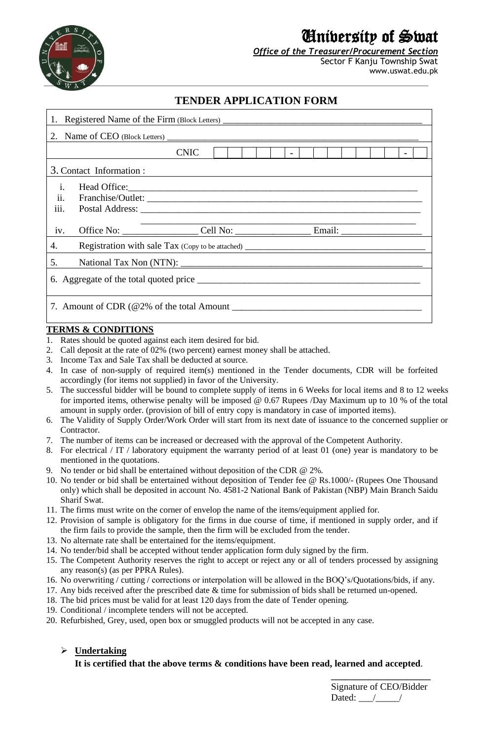

# University of Swat

*Office of the Treasurer/Procurement Section* Sector F Kanju Township Swat

www.uswat.edu.pk

## **TENDER APPLICATION FORM**

| 1. Registered Name of the Firm (Block Letters) __________________________________ |  |             |  |  |  |        |  |  |  |  |  |
|-----------------------------------------------------------------------------------|--|-------------|--|--|--|--------|--|--|--|--|--|
|                                                                                   |  |             |  |  |  |        |  |  |  |  |  |
|                                                                                   |  | <b>CNIC</b> |  |  |  | $\sim$ |  |  |  |  |  |
| 3. Contact Information :                                                          |  |             |  |  |  |        |  |  |  |  |  |
| i.<br>ii.<br>iii.                                                                 |  |             |  |  |  |        |  |  |  |  |  |
| iv.                                                                               |  |             |  |  |  |        |  |  |  |  |  |
| 4.                                                                                |  |             |  |  |  |        |  |  |  |  |  |
| 5.                                                                                |  |             |  |  |  |        |  |  |  |  |  |
|                                                                                   |  |             |  |  |  |        |  |  |  |  |  |
| 7. Amount of CDR $(\textcircled{2}\%$ of the total Amount                         |  |             |  |  |  |        |  |  |  |  |  |

### **TERMS & CONDITIONS**

- 1. Rates should be quoted against each item desired for bid.
- 2. Call deposit at the rate of 02% (two percent) earnest money shall be attached.
- 3. Income Tax and Sale Tax shall be deducted at source.
- 4. In case of non-supply of required item(s) mentioned in the Tender documents, CDR will be forfeited accordingly (for items not supplied) in favor of the University.
- 5. The successful bidder will be bound to complete supply of items in 6 Weeks for local items and 8 to 12 weeks for imported items, otherwise penalty will be imposed @ 0.67 Rupees /Day Maximum up to 10 % of the total amount in supply order. (provision of bill of entry copy is mandatory in case of imported items).
- 6. The Validity of Supply Order/Work Order will start from its next date of issuance to the concerned supplier or **Contractor**
- 7. The number of items can be increased or decreased with the approval of the Competent Authority.
- 8. For electrical / IT / laboratory equipment the warranty period of at least 01 (one) year is mandatory to be mentioned in the quotations.
- 9. No tender or bid shall be entertained without deposition of the CDR @ 2%.
- 10. No tender or bid shall be entertained without deposition of Tender fee @ Rs.1000/- (Rupees One Thousand only) which shall be deposited in account No. 4581-2 National Bank of Pakistan (NBP) Main Branch Saidu Sharif Swat.
- 11. The firms must write on the corner of envelop the name of the items/equipment applied for.
- 12. Provision of sample is obligatory for the firms in due course of time, if mentioned in supply order, and if the firm fails to provide the sample, then the firm will be excluded from the tender.
- 13. No alternate rate shall be entertained for the items/equipment.
- 14. No tender/bid shall be accepted without tender application form duly signed by the firm.
- 15. The Competent Authority reserves the right to accept or reject any or all of tenders processed by assigning any reason(s) (as per PPRA Rules).
- 16. No overwriting / cutting / corrections or interpolation will be allowed in the BOQ's/Quotations/bids, if any.
- 17. Any bids received after the prescribed date & time for submission of bids shall be returned un-opened.
- 18. The bid prices must be valid for at least 120 days from the date of Tender opening.
- 19. Conditional / incomplete tenders will not be accepted.
- 20. Refurbished, Grey, used, open box or smuggled products will not be accepted in any case.

### ➢ **Undertaking**

### **It is certified that the above terms & conditions have been read, learned and accepted**.

**\_\_\_\_\_\_\_\_\_\_\_\_\_\_\_\_\_\_\_\_\_**